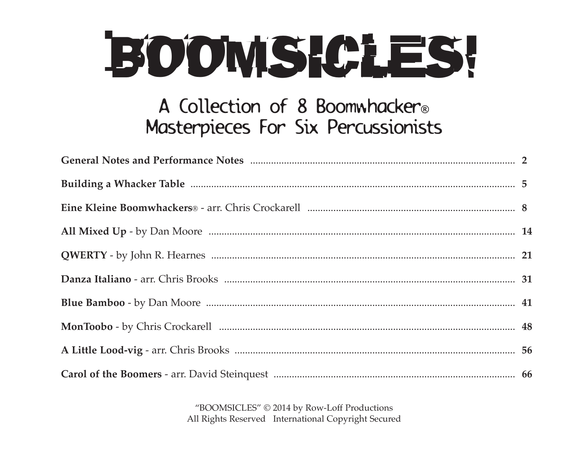# BOOMS CLES!

### A Collection of 8 Boomwhacker® Masterpieces For Six Percussionists

"BOOMSICLES" © 2014 by Row-Loff Productions All Rights Reserved International Copyright Secured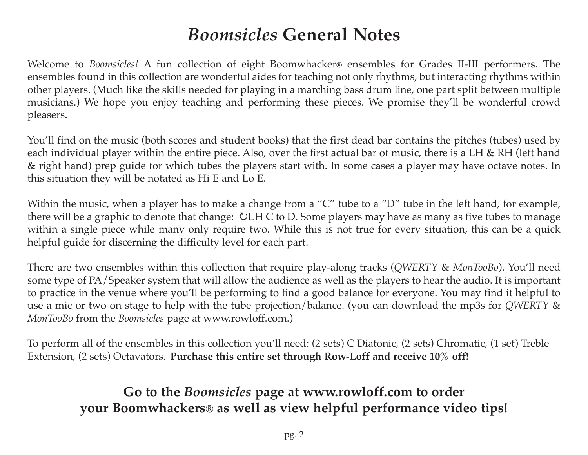### *Boomsicles* **General Notes**

Welcome to *Boomsicles!* A fun collection of eight Boomwhacker® ensembles for Grades II-III performers. The ensembles found in this collection are wonderful aides for teaching not only rhythms, but interacting rhythms within other players. (Much like the skills needed for playing in a marching bass drum line, one part split between multiple musicians.) We hope you enjoy teaching and performing these pieces. We promise they'll be wonderful crowd pleasers.

You'll find on the music (both scores and student books) that the first dead bar contains the pitches (tubes) used by each individual player within the entire piece. Also, over the first actual bar of music, there is a LH & RH (left hand & right hand) prep guide for which tubes the players start with. In some cases a player may have octave notes. In this situation they will be notated as Hi E and Lo E.

Within the music, when a player has to make a change from a "C" tube to a "D" tube in the left hand, for example, there will be a graphic to denote that change:  $\bigcup H C$  to D. Some players may have as many as five tubes to manage within a single piece while many only require two. While this is not true for every situation, this can be a quick helpful guide for discerning the difficulty level for each part.

There are two ensembles within this collection that require play-along tracks (*QWERTY* & *MonTooBo*). You'll need some type of PA/Speaker system that will allow the audience as well as the players to hear the audio. It is important to practice in the venue where you'll be performing to find a good balance for everyone. You may find it helpful to use a mic or two on stage to help with the tube projection/balance. (you can download the mp3s for *QWERTY* & *MonTooBo* from the *Boomsicles* page at www.rowloff.com.)

To perform all of the ensembles in this collection you'll need: (2 sets) C Diatonic, (2 sets) Chromatic, (1 set) Treble Extension, (2 sets) Octavators. **Purchase this entire set through Row-Loff and receive 10% off!**

#### **Go to the** *Boomsicles* **page at www.rowloff.com to order your Boomwhackers® as well as view helpful performance video tips!**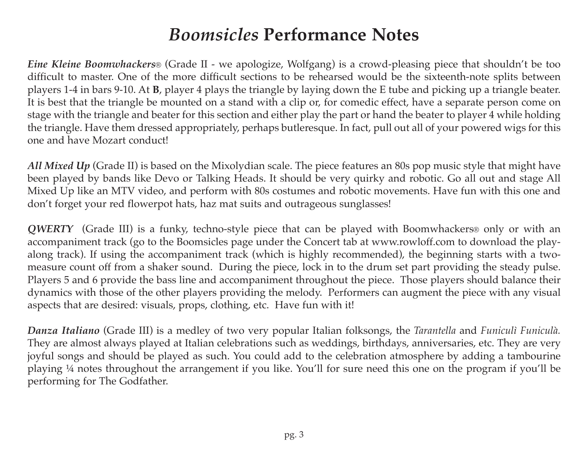### *Boomsicles* **Performance Notes**

*Eine Kleine Boomwhackers*® (Grade II - we apologize, Wolfgang) is a crowd-pleasing piece that shouldn't be too difficult to master. One of the more difficult sections to be rehearsed would be the sixteenth-note splits between players 1-4 in bars 9-10. At **B**, player 4 plays the triangle by laying down the E tube and picking up a triangle beater. It is best that the triangle be mounted on a stand with a clip or, for comedic effect, have a separate person come on stage with the triangle and beater for this section and either play the part or hand the beater to player 4 while holding the triangle. Have them dressed appropriately, perhaps butleresque. In fact, pull out all of your powered wigs for this one and have Mozart conduct!

*All Mixed Up* (Grade II) is based on the Mixolydian scale. The piece features an 80s pop music style that might have been played by bands like Devo or Talking Heads. It should be very quirky and robotic. Go all out and stage All Mixed Up like an MTV video, and perform with 80s costumes and robotic movements. Have fun with this one and don't forget your red flowerpot hats, haz mat suits and outrageous sunglasses!

*QWERTY* (Grade III) is a funky, techno-style piece that can be played with Boomwhackers® only or with an accompaniment track (go to the Boomsicles page under the Concert tab at www.rowloff.com to download the playalong track). If using the accompaniment track (which is highly recommended), the beginning starts with a twomeasure count off from a shaker sound. During the piece, lock in to the drum set part providing the steady pulse. Players 5 and 6 provide the bass line and accompaniment throughout the piece. Those players should balance their dynamics with those of the other players providing the melody. Performers can augment the piece with any visual aspects that are desired: visuals, props, clothing, etc. Have fun with it!

*Danza Italiano* (Grade III) is a medley of two very popular Italian folksongs, the *Tarantella* and *Funiculì Funiculà.* They are almost always played at Italian celebrations such as weddings, birthdays, anniversaries, etc. They are very joyful songs and should be played as such. You could add to the celebration atmosphere by adding a tambourine playing ¼ notes throughout the arrangement if you like. You'll for sure need this one on the program if you'll be performing for The Godfather.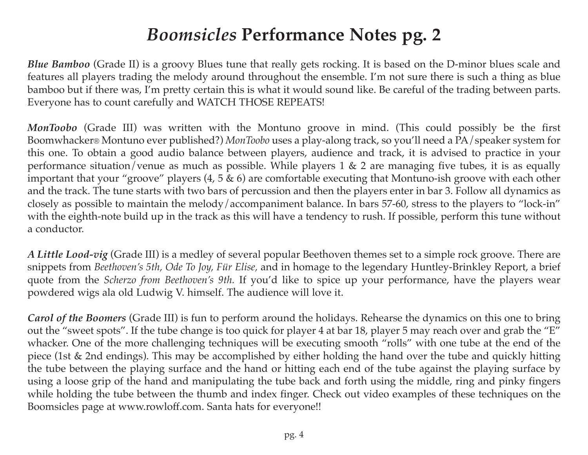### *Boomsicles* **Performance Notes pg. 2**

*Blue Bamboo* (Grade II) is a groovy Blues tune that really gets rocking. It is based on the D-minor blues scale and features all players trading the melody around throughout the ensemble. I'm not sure there is such a thing as blue bamboo but if there was, I'm pretty certain this is what it would sound like. Be careful of the trading between parts. Everyone has to count carefully and WATCH THOSE REPEATS!

*MonToobo* (Grade III) was written with the Montuno groove in mind. (This could possibly be the first Boomwhacker® Montuno ever published?) *MonToobo* uses a play-along track, so you'll need a PA/speaker system for this one. To obtain a good audio balance between players, audience and track, it is advised to practice in your performance situation/venue as much as possible. While players 1 & 2 are managing five tubes, it is as equally important that your "groove" players (4, 5 & 6) are comfortable executing that Montuno-ish groove with each other and the track. The tune starts with two bars of percussion and then the players enter in bar 3. Follow all dynamics as closely as possible to maintain the melody/accompaniment balance. In bars 57-60, stress to the players to "lock-in" with the eighth-note build up in the track as this will have a tendency to rush. If possible, perform this tune without a conductor.

*A Little Lood-vig* (Grade III) is a medley of several popular Beethoven themes set to a simple rock groove. There are snippets from *Beethoven's 5th, Ode To Joy, Für Elise,* and in homage to the legendary Huntley-Brinkley Report, a brief quote from the *Scherzo from Beethoven's 9th.* If you'd like to spice up your performance, have the players wear powdered wigs ala old Ludwig V. himself. The audience will love it.

*Carol of the Boomers* (Grade III) is fun to perform around the holidays. Rehearse the dynamics on this one to bring out the "sweet spots". If the tube change is too quick for player 4 at bar 18, player 5 may reach over and grab the "E" whacker. One of the more challenging techniques will be executing smooth "rolls" with one tube at the end of the piece (1st & 2nd endings). This may be accomplished by either holding the hand over the tube and quickly hitting the tube between the playing surface and the hand or hitting each end of the tube against the playing surface by using a loose grip of the hand and manipulating the tube back and forth using the middle, ring and pinky fingers while holding the tube between the thumb and index finger. Check out video examples of these techniques on the Boomsicles page at www.rowloff.com. Santa hats for everyone!!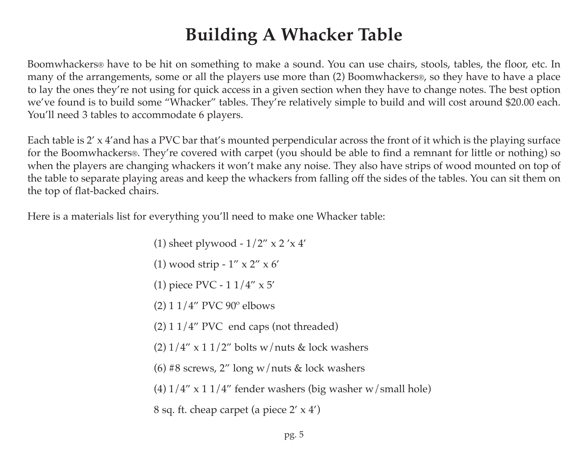### **Building A Whacker Table**

Boomwhackers® have to be hit on something to make a sound. You can use chairs, stools, tables, the floor, etc. In many of the arrangements, some or all the players use more than (2) Boomwhackers®, so they have to have a place to lay the ones they're not using for quick access in a given section when they have to change notes. The best option we've found is to build some "Whacker" tables. They're relatively simple to build and will cost around \$20.00 each. You'll need 3 tables to accommodate 6 players.

Each table is 2' x 4'and has a PVC bar that's mounted perpendicular across the front of it which is the playing surface for the Boomwhackers®. They're covered with carpet (you should be able to find a remnant for little or nothing) so when the players are changing whackers it won't make any noise. They also have strips of wood mounted on top of the table to separate playing areas and keep the whackers from falling off the sides of the tables. You can sit them on the top of flat-backed chairs.

Here is a materials list for everything you'll need to make one Whacker table:

- (1) sheet plywood  $1/2$ " x 2'x 4'
- (1) wood strip 1" x 2" x 6'
- (1) piece PVC 1 1/4" x 5'
- (2) 1 1/4" PVC 90º elbows
- $(2)$  1 1/4" PVC end caps (not threaded)
- (2)  $1/4''$  x 1  $1/2''$  bolts w/nuts & lock washers
- (6) #8 screws, 2" long w/nuts & lock washers
- (4)  $1/4$ " x 1  $1/4$ " fender washers (big washer w/small hole)
- 8 sq. ft. cheap carpet (a piece 2' x 4')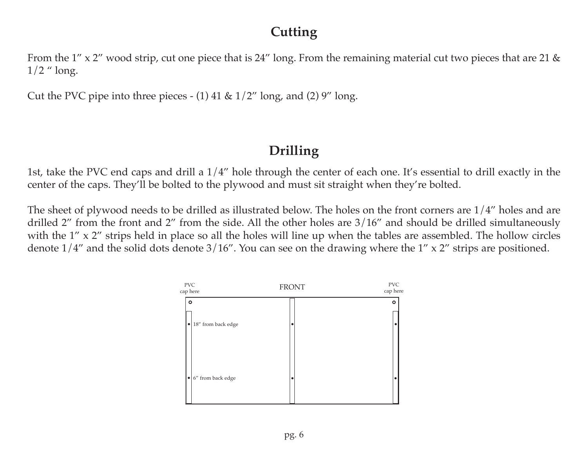#### **Cutting**

From the 1" x 2" wood strip, cut one piece that is 24" long. From the remaining material cut two pieces that are 21 &  $1/2$  " long.

Cut the PVC pipe into three pieces - (1) 41 &  $1/2$ " long, and (2) 9" long.

#### **Drilling**

1st, take the PVC end caps and drill a 1/4" hole through the center of each one. It's essential to drill exactly in the center of the caps. They'll be bolted to the plywood and must sit straight when they're bolted.

The sheet of plywood needs to be drilled as illustrated below. The holes on the front corners are 1/4" holes and are drilled 2" from the front and 2" from the side. All the other holes are 3/16" and should be drilled simultaneously with the 1" x 2" strips held in place so all the holes will line up when the tables are assembled. The hollow circles denote  $1/4$ " and the solid dots denote  $3/16$ ". You can see on the drawing where the  $1'' \times 2''$  strips are positioned.

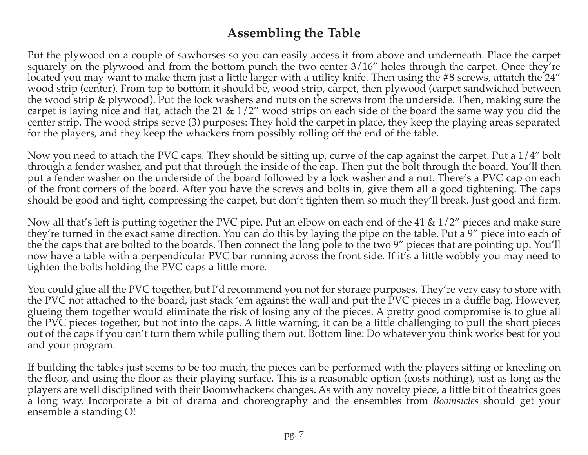#### **Assembling the Table**

Put the plywood on a couple of sawhorses so you can easily access it from above and underneath. Place the carpet squarely on the plywood and from the bottom punch the two center 3/16" holes through the carpet. Once they're located you may want to make them just a little larger with a utility knife. Then using the #8 screws, attatch the 24" wood strip (center). From top to bottom it should be, wood strip, carpet, then plywood (carpet sandwiched between the wood strip & plywood). Put the lock washers and nuts on the screws from the underside. Then, making sure the carpet is laying nice and flat, attach the 21 &  $1/2$ " wood strips on each side of the board the same way you did the center strip. The wood strips serve (3) purposes: They hold the carpet in place, they keep the playing areas separated for the players, and they keep the whackers from possibly rolling off the end of the table.

Now you need to attach the PVC caps. They should be sitting up, curve of the cap against the carpet. Put a 1/4" bolt through a fender washer, and put that through the inside of the cap. Then put the bolt through the board. You'll then put a fender washer on the underside of the board followed by a lock washer and a nut. There's a PVC cap on each of the front corners of the board. After you have the screws and bolts in, give them all a good tightening. The caps should be good and tight, compressing the carpet, but don't tighten them so much they'll break. Just good and firm.

Now all that's left is putting together the PVC pipe. Put an elbow on each end of the 41 & 1/2" pieces and make sure they're turned in the exact same direction. You can do this by laying the pipe on the table. Put a 9" piece into each of the the caps that are bolted to the boards. Then connect the long pole to the two 9" pieces that are pointing up. You'll now have a table with a perpendicular PVC bar running across the front side. If it's a little wobbly you may need to tighten the bolts holding the PVC caps a little more.

You could glue all the PVC together, but I'd recommend you not for storage purposes. They're very easy to store with the PVC not attached to the board, just stack 'em against the wall and put the PVC pieces in a duffle bag. However, glueing them together would eliminate the risk of losing any of the pieces. A pretty good compromise is to glue all the PVC pieces together, but not into the caps. A little warning, it can be a little challenging to pull the short pieces out of the caps if you can't turn them while pulling them out. Bottom line: Do whatever you think works best for you and your program.

If building the tables just seems to be too much, the pieces can be performed with the players sitting or kneeling on the floor, and using the floor as their playing surface. This is a reasonable option (costs nothing), just as long as the players are well disciplined with their Boomwhacker® changes. As with any novelty piece, a little bit of theatrics goes a long way. Incorporate a bit of drama and choreography and the ensembles from *Boomsicles* should get your ensemble a standing O!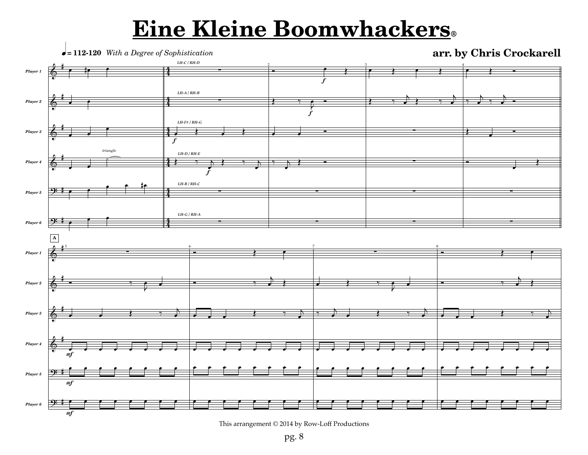# **Eine Kleine Boomwhackers®**



This arrangement © 2014 by Row-Loff Productions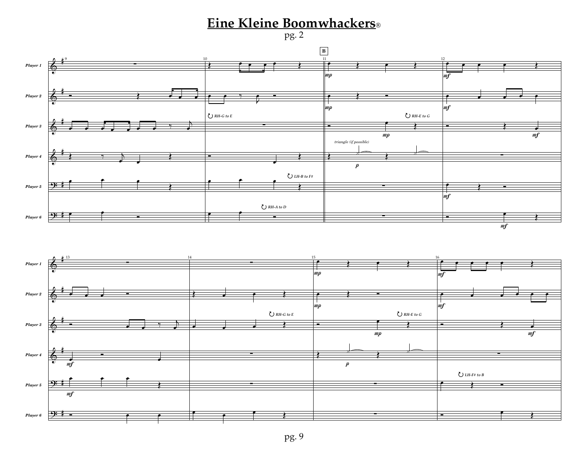#### **Eine Kleine Boomwhackers®**

pg. 2

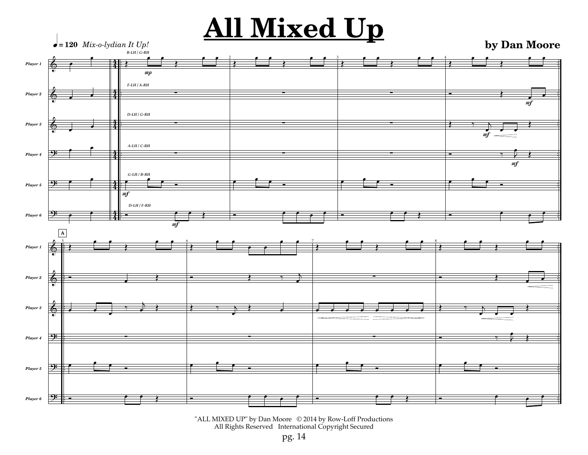# **All Mixed Up by Dan Moore**



<sup>&</sup>quot;ALL MIXED UP" by Dan Moore © 2014 by Row-Loff Productions All Rights Reserved International Copyright Secured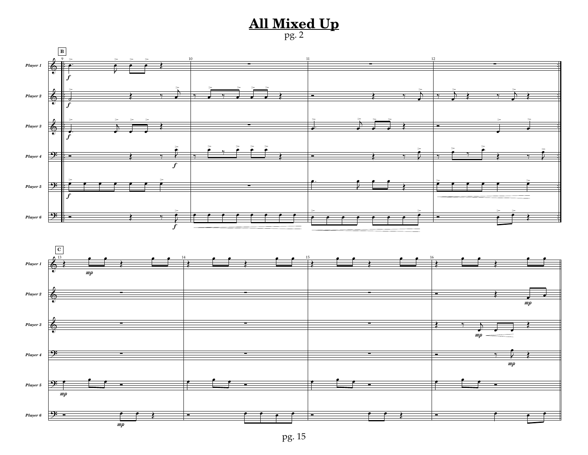#### **All Mixed Up** pg. 2



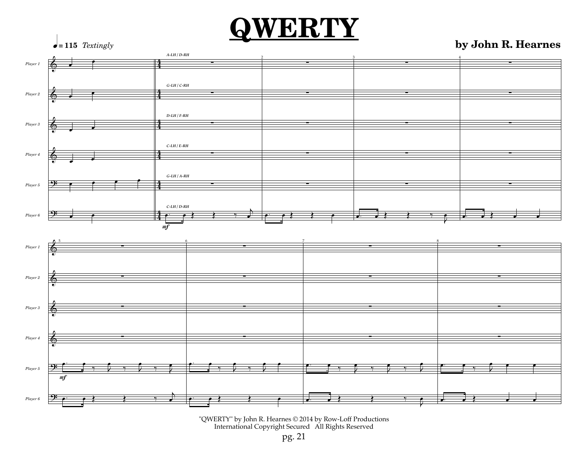# **QWERTY by John R. Hearnes**



"QWERTY" by John R. Hearnes © 2014 by Row-Loff Productions International Copyright Secured All Rights Reserved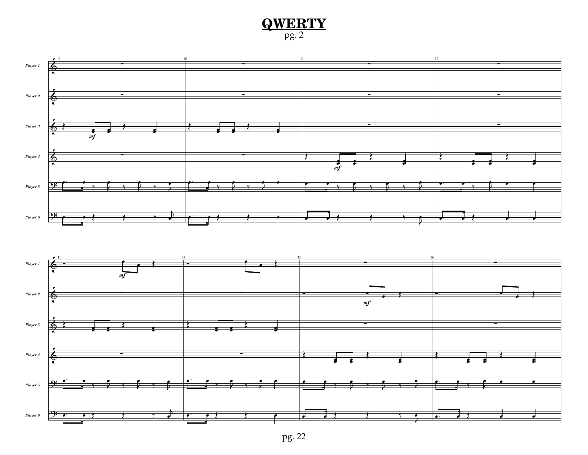#### **QWERTY** pg. 2



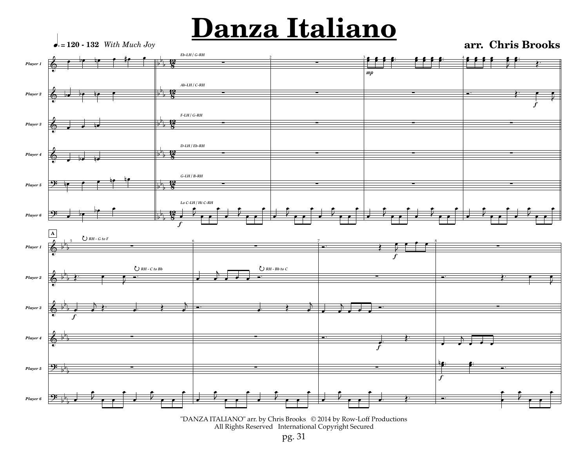# **Danza Italiano**

q.»**120 - 132** *With Much Joy*

**arr. Chris Brooks**



<sup>&</sup>quot;DANZA ITALIANO" arr. by Chris Brooks © 2014 by Row-Loff Productions All Rights Reserved International Copyright Secured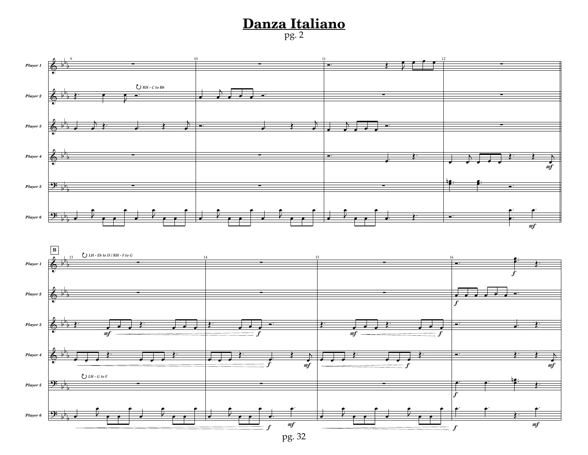## **Danza Italiano** pg. 2

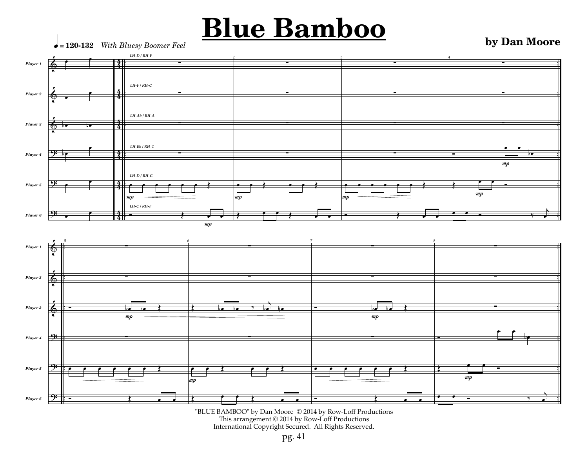# **Blue Bamboo**

**by Dan Moore**



<sup>&</sup>quot;BLUE BAMBOO" by Dan Moore © 2014 by Row-Loff Productions This arrangement © 2014 by Row-Loff Productions International Copyright Secured. All Rights Reserved.

pg. 41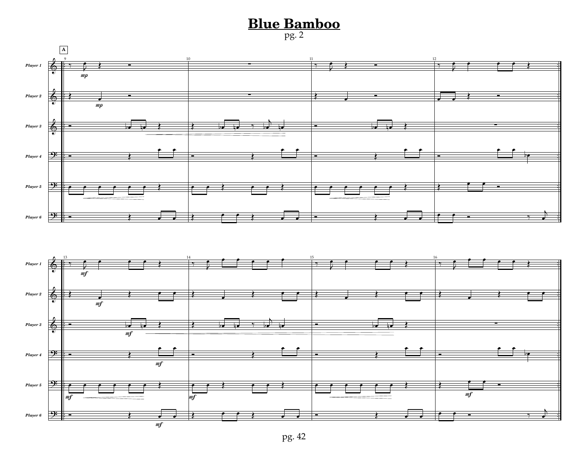### **Blue Bamboo** pg. 2





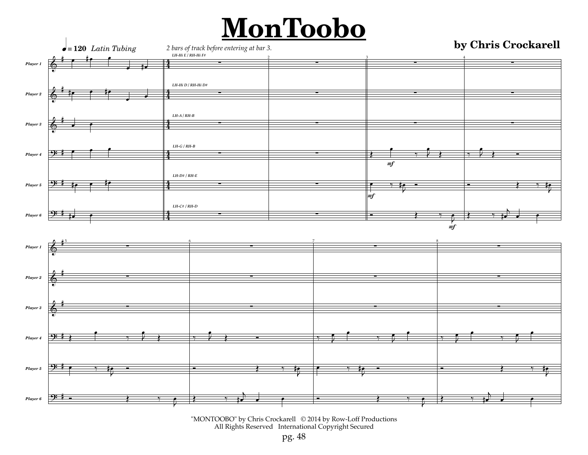# **MonToobo**



"MONTOOBO" by Chris Crockarell © 2014 by Row-Loff Productions All Rights Reserved International Copyright Secured

pg. 48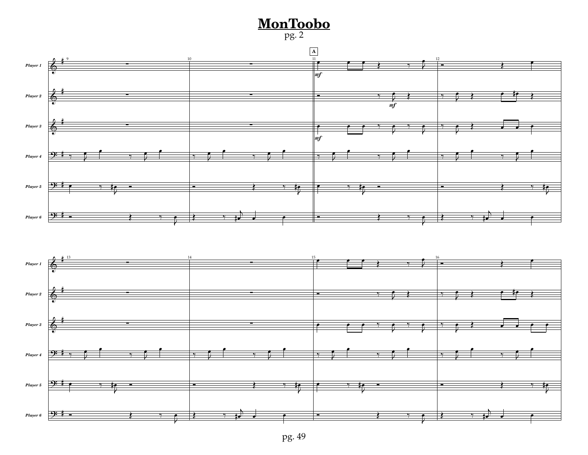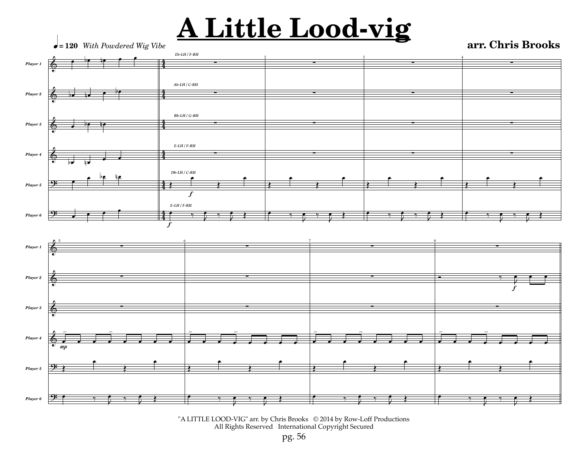# **A Little Lood-vig arr. Chris Brooks**



"A LITTLE LOOD-VIG" arr. by Chris Brooks © 2014 by Row-Loff Productions All Rights Reserved International Copyright Secured

pg. 56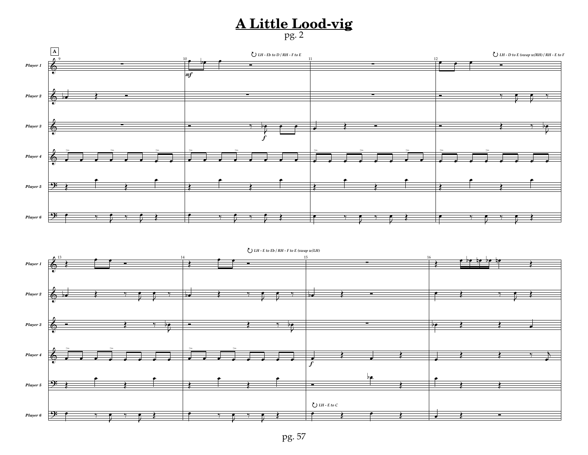#### **A Little Lood-vig** pg. 2

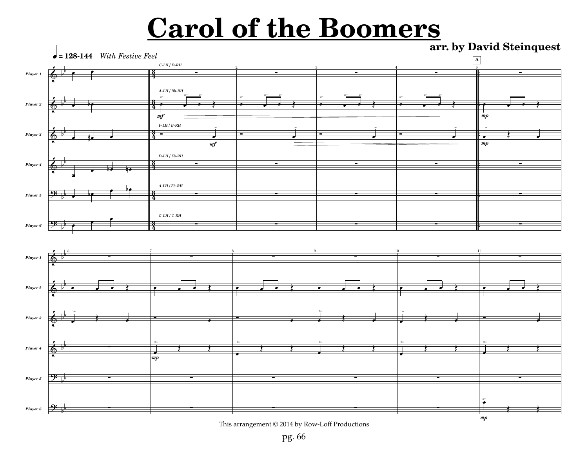# **Carol of the Boomers**

**arr. by David Steinquest**



This arrangement © 2014 by Row-Loff Productions